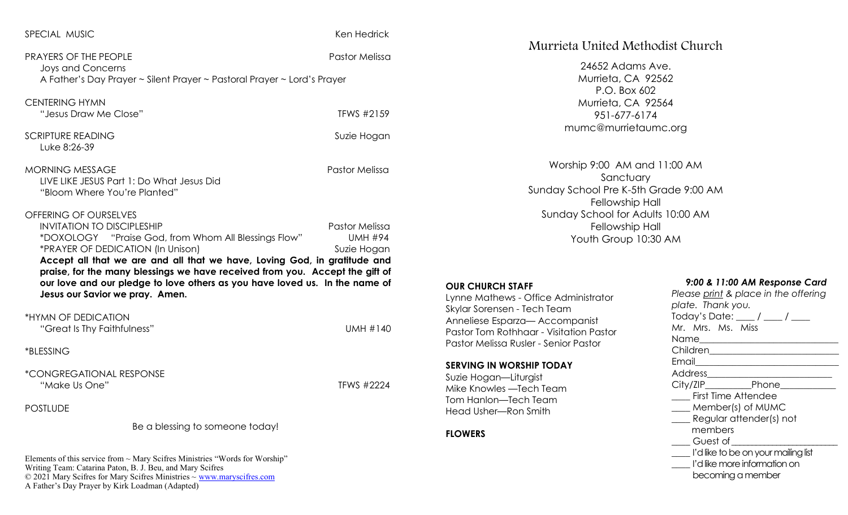| SPECIAL MUSIC |  |
|---------------|--|
|---------------|--|

Ken Hedrick

PRAYERS OF THE PEOPLE PASTOL PASTOLE PASTOLE PASTOLE PASTOLE PASTOLE PASTOLE PASTOLE PASTOLE PASTOLE PASTOLE P Joys and Concerns A Father's Day Prayer ~ Silent Prayer ~ Pastoral Prayer ~ Lord's Prayer

CENTERING HYMN "Jesus Draw Me Close" The Communication of the Terms #2159 SCRIPTURE READING **SULFEREADING** SUZIE Hogan

LIVE LIKE JESUS Part 1: Do What Jesus Did

"Bloom Where You're Planted"

MORNING MESSAGE Pastor Melissa

#### OFFERING OF OURSELVES

Luke 8:26-39

| <b>INVITATION TO DISCIPLESHIP</b>                                            | Pastor Melissa |  |
|------------------------------------------------------------------------------|----------------|--|
| *DOXOLOGY "Praise God, from Whom All Blessings Flow"                         | <b>UMH #94</b> |  |
| *PRAYER OF DEDICATION (In Unison)                                            | Suzie Hogan    |  |
| Accept all that we are and all that we have, Loving God, in gratitude and    |                |  |
| praise, for the many blessings we have received from you. Accept the gift of |                |  |
| our love and our pledge to love others as you have loved us. In the name of  |                |  |
| Jesus our Savior we pray. Amen.                                              |                |  |

\*HYMN OF DEDICATION

"Great Is Thy Faithfulness" UMH #140

#### \*BLESSING

\*CONGREGATIONAL RESPONSE "Make Us One"  $\blacksquare$ 

# **POSTLUDE**

Be a blessing to someone today!

Elements of this service from ~ Mary Scifres Ministries "Words for Worship" Writing Team: Catarina Paton, B. J. Beu, and Mary Scifres  $\odot$  2021 Mary Scifres for Mary Scifres Ministries  $\sim$  [www.maryscifres.com](http://www.maryscifres.com) A Father's Day Prayer by Kirk Loadman (Adapted)

# Murrieta United Methodist Church

24652 Adams Ave. Murrieta, CA 92562 P.O. Box 602 Murrieta, CA 92564 951-677-6174

Worship 9:00 AM and 11:00 AM Sanctuary Sunday School Pre K-5th Grade 9:00 AM Fellowship Hall Sunday School for Adults 10:00 AM Fellowship Hall Youth Group 10:30 AM

#### **OUR CHURCH STAFF**

Lynne Mathews - Office Administrator Skylar Sorensen - Tech Team Anneliese Esparza— Accompanist Pastor Tom Rothhaar - Visitation Pastor Pastor Melissa Rusler - Senior Pastor

#### **SERVING IN WORSHIP TODAY**

Suzie Hogan—Liturgist Mike Knowles —Tech Team Tom Hanlon—Tech Team Head Usher—Ron Smith

# **FLOWERS**

mumc@murrietaumc.org

Today's Date: \_\_\_\_ / \_\_\_\_ / \_\_\_\_ Mr. Mrs. Ms. Miss Name\_\_\_\_\_\_\_\_\_\_\_\_\_\_\_\_\_\_\_\_\_\_\_\_\_\_\_\_\_\_

*9:00 & 11:00 AM Response Card Please print & place in the offering* 

Children\_\_\_\_\_\_\_\_\_\_\_\_\_\_\_\_\_\_\_\_\_\_\_\_\_\_\_\_

- Email\_\_\_\_\_\_\_\_\_\_\_\_\_\_\_\_\_\_\_\_\_\_\_\_\_\_\_\_\_\_\_
- Address\_\_\_\_\_\_\_\_\_\_\_\_\_\_\_\_\_\_\_\_\_\_\_\_\_\_\_

*plate. Thank you.*

- City/ZIP Phone \_\_\_\_ First Time Attendee
- \_\_\_\_ Member(s) of MUMC
- 
- \_\_\_\_ Regular attender(s) not members
- \_\_\_\_ Guest of \_\_\_\_\_\_\_\_\_\_\_\_\_\_\_\_\_\_\_\_\_\_\_\_\_\_
- \_\_\_\_ I'd like to be on your mailing list
- \_\_\_\_ I'd like more information on
	- becoming a member